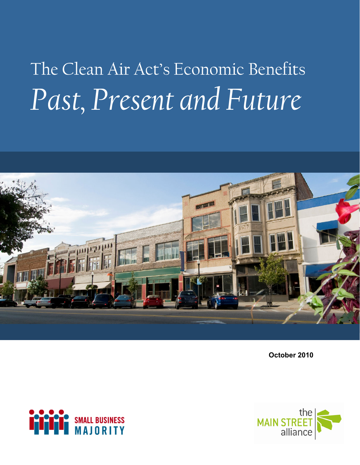# The Clean Air Act's Economic Benefits *Past, Present and Future*



**October 2010** 



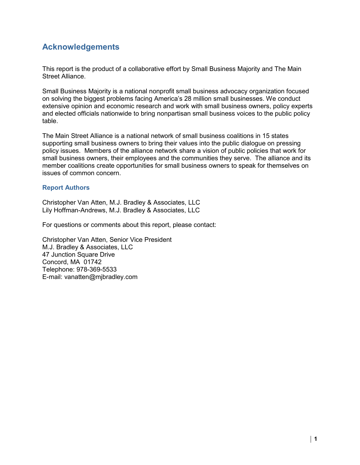## **Acknowledgements**

This report is the product of a collaborative effort by Small Business Majority and The Main Street Alliance.

Small Business Majority is a national nonprofit small business advocacy organization focused on solving the biggest problems facing America's 28 million small businesses. We conduct extensive opinion and economic research and work with small business owners, policy experts and elected officials nationwide to bring nonpartisan small business voices to the public policy table.

The Main Street Alliance is a national network of small business coalitions in 15 states supporting small business owners to bring their values into the public dialogue on pressing policy issues. Members of the alliance network share a vision of public policies that work for small business owners, their employees and the communities they serve. The alliance and its member coalitions create opportunities for small business owners to speak for themselves on issues of common concern.

#### **Report Authors**

Christopher Van Atten, M.J. Bradley & Associates, LLC Lily Hoffman-Andrews, M.J. Bradley & Associates, LLC

For questions or comments about this report, please contact:

Christopher Van Atten, Senior Vice President M.J. Bradley & Associates, LLC 47 Junction Square Drive Concord, MA 01742 Telephone: 978-369-5533 E-mail: vanatten@mjbradley.com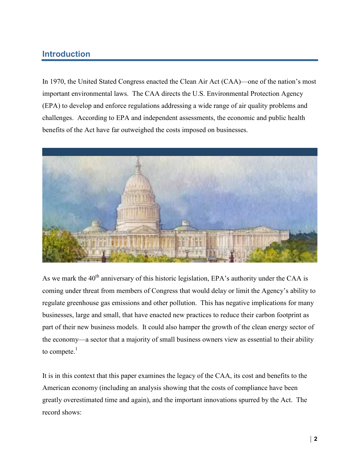# **Introduction**

In 1970, the United Stated Congress enacted the Clean Air Act (CAA)—one of the nation's most important environmental laws. The CAA directs the U.S. Environmental Protection Agency (EPA) to develop and enforce regulations addressing a wide range of air quality problems and challenges. According to EPA and independent assessments, the economic and public health benefits of the Act have far outweighed the costs imposed on businesses.



As we mark the  $40<sup>th</sup>$  anniversary of this historic legislation. EPA's authority under the CAA is coming under threat from members of Congress that would delay or limit the Agency's ability to regulate greenhouse gas emissions and other pollution. This has negative implications for many businesses, large and small, that have enacted new practices to reduce their carbon footprint as part of their new business models. It could also hamper the growth of the clean energy sector of the economy—a sector that a majority of small business owners view as essential to their ability to compete. $<sup>1</sup>$ </sup>

It is in this context that this paper examines the legacy of the CAA, its cost and benefits to the American economy (including an analysis showing that the costs of compliance have been greatly overestimated time and again), and the important innovations spurred by the Act. The record shows: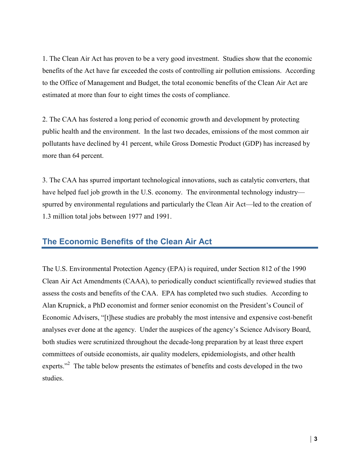1. The Clean Air Act has proven to be a very good investment. Studies show that the economic benefits of the Act have far exceeded the costs of controlling air pollution emissions. According to the Office of Management and Budget, the total economic benefits of the Clean Air Act are estimated at more than four to eight times the costs of compliance.

2. The CAA has fostered a long period of economic growth and development by protecting public health and the environment. In the last two decades, emissions of the most common air pollutants have declined by 41 percent, while Gross Domestic Product (GDP) has increased by more than 64 percent.

3. The CAA has spurred important technological innovations, such as catalytic converters, that have helped fuel job growth in the U.S. economy. The environmental technology industry spurred by environmental regulations and particularly the Clean Air Act—led to the creation of 1.3 million total jobs between 1977 and 1991.

#### **The Economic Benefits of the Clean Air Act**

The U.S. Environmental Protection Agency (EPA) is required, under Section 812 of the 1990 Clean Air Act Amendments (CAAA), to periodically conduct scientifically reviewed studies that assess the costs and benefits of the CAA. EPA has completed two such studies. According to Alan Krupnick, a PhD economist and former senior economist on the President's Council of Economic Advisers, "[t]hese studies are probably the most intensive and expensive cost-benefit analyses ever done at the agency. Under the auspices of the agency's Science Advisory Board, both studies were scrutinized throughout the decade-long preparation by at least three expert committees of outside economists, air quality modelers, epidemiologists, and other health experts."<sup>2</sup> The table below presents the estimates of benefits and costs developed in the two studies.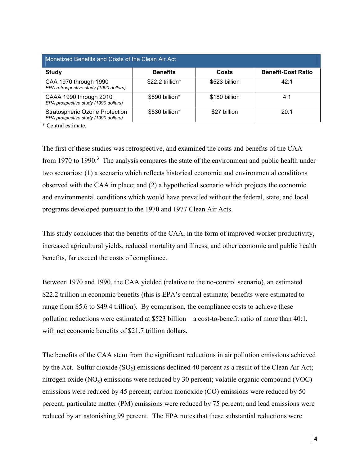| Monetized Benefits and Costs of the Clean Air Act                      |                  |               |                           |
|------------------------------------------------------------------------|------------------|---------------|---------------------------|
| <b>Study</b>                                                           | <b>Benefits</b>  | Costs         | <b>Benefit-Cost Ratio</b> |
| CAA 1970 through 1990<br>EPA retrospective study (1990 dollars)        | \$22.2 trillion* | \$523 billion | 42:1                      |
| CAAA 1990 through 2010<br>EPA prospective study (1990 dollars)         | \$690 billion*   | \$180 billion | 4:1                       |
| Stratospheric Ozone Protection<br>EPA prospective study (1990 dollars) | \$530 billion*   | \$27 billion  | 20:1                      |

\* Central estimate.

The first of these studies was retrospective, and examined the costs and benefits of the CAA from 1970 to 1990.<sup>3</sup> The analysis compares the state of the environment and public health under two scenarios: (1) a scenario which reflects historical economic and environmental conditions observed with the CAA in place; and (2) a hypothetical scenario which projects the economic and environmental conditions which would have prevailed without the federal, state, and local programs developed pursuant to the 1970 and 1977 Clean Air Acts.

This study concludes that the benefits of the CAA, in the form of improved worker productivity, increased agricultural yields, reduced mortality and illness, and other economic and public health benefits, far exceed the costs of compliance.

Between 1970 and 1990, the CAA yielded (relative to the no-control scenario), an estimated \$22.2 trillion in economic benefits (this is EPA's central estimate; benefits were estimated to range from \$5.6 to \$49.4 trillion). By comparison, the compliance costs to achieve these pollution reductions were estimated at \$523 billion—a cost-to-benefit ratio of more than 40:1, with net economic benefits of \$21.7 trillion dollars.

The benefits of the CAA stem from the significant reductions in air pollution emissions achieved by the Act. Sulfur dioxide  $(SO_2)$  emissions declined 40 percent as a result of the Clean Air Act; nitrogen oxide  $(NO_x)$  emissions were reduced by 30 percent; volatile organic compound (VOC) emissions were reduced by 45 percent; carbon monoxide (CO) emissions were reduced by 50 percent; particulate matter (PM) emissions were reduced by 75 percent; and lead emissions were reduced by an astonishing 99 percent. The EPA notes that these substantial reductions were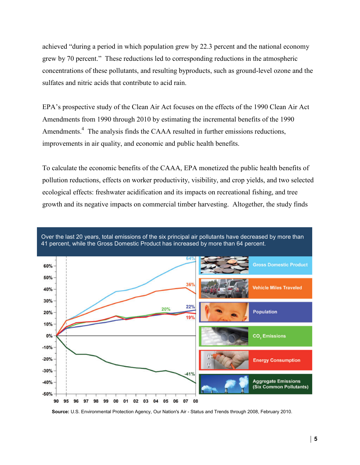achieved "during a period in which population grew by 22.3 percent and the national economy grew by 70 percent." These reductions led to corresponding reductions in the atmospheric concentrations of these pollutants, and resulting byproducts, such as ground-level ozone and the sulfates and nitric acids that contribute to acid rain.

EPA's prospective study of the Clean Air Act focuses on the effects of the 1990 Clean Air Act Amendments from 1990 through 2010 by estimating the incremental benefits of the 1990 Amendments.<sup>4</sup> The analysis finds the CAAA resulted in further emissions reductions, improvements in air quality, and economic and public health benefits.

To calculate the economic benefits of the CAAA, EPA monetized the public health benefits of pollution reductions, effects on worker productivity, visibility, and crop yields, and two selected ecological effects: freshwater acidification and its impacts on recreational fishing, and tree growth and its negative impacts on commercial timber harvesting. Altogether, the study finds



**Source:** U.S. Environmental Protection Agency, Our Nation's Air - Status and Trends through 2008, February 2010.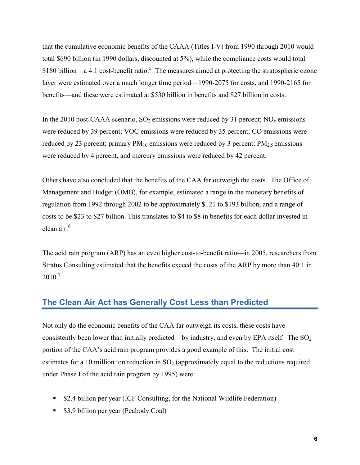that the cumulative economic benefits of the CAAA (Titles I-V) from 1990 through 2010 would total \$690 billion (in 1990 dollars, discounted at 5%), while the compliance costs would total \$180 billion—a 4:1 cost-benefit ratio.<sup>5</sup> The measures aimed at protecting the stratospheric ozone layer were estimated over a much longer time period—1990-2075 for costs, and 1990-2165 for benefits—and these were estimated at \$530 billion in benefits and \$27 billion in costs.

In the 2010 post-CAAA scenario,  $SO_2$  emissions were reduced by 31 percent;  $NO_x$  emissions were reduced by 39 percent; VOC emissions were reduced by 35 percent; CO emissions were reduced by 23 percent; primary  $PM_{10}$  emissions were reduced by 3 percent;  $PM_{2.5}$  emissions were reduced by 4 percent, and mercury emissions were reduced by 42 percent.

Others have also concluded that the benefits of the CAA far outweigh the costs. The Office of Management and Budget (OMB), for example, estimated a range in the monetary benefits of regulation from 1992 through 2002 to be approximately \$121 to \$193 billion, and a range of costs to be \$23 to \$27 billion. This translates to \$4 to \$8 in benefits for each dollar invested in clean air.<sup>6</sup>

The acid rain program (ARP) has an even higher cost-to-benefit ratio—in 2005, researchers from Stratus Consulting estimated that the benefits exceed the costs of the ARP by more than 40:1 in  $2010.<sup>7</sup>$ 

## **The Clean Air Act has Generally Cost Less than Predicted**

Not only do the economic benefits of the CAA far outweigh its costs, these costs have consistently been lower than initially predicted—by industry, and even by EPA itself. The  $SO_2$ portion of the CAA's acid rain program provides a good example of this. The initial cost estimates for a 10 million ton reduction in  $SO<sub>2</sub>$  (approximately equal to the reductions required under Phase I of the acid rain program by 1995) were:

- \$2.4 billion per year (ICF Consulting, for the National Wildlife Federation)
- **53.9 billion per year (Peabody Coal)**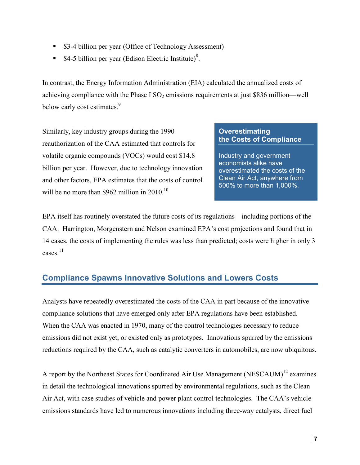- **S3-4 billion per year (Office of Technology Assessment)**
- **S4-5 billion per year (Edison Electric Institute)<sup>8</sup>.**

In contrast, the Energy Information Administration (EIA) calculated the annualized costs of achieving compliance with the Phase I  $SO_2$  emissions requirements at just \$836 million—well below early cost estimates.<sup>9</sup>

Similarly, key industry groups during the 1990 reauthorization of the CAA estimated that controls for volatile organic compounds (VOCs) would cost \$14.8 billion per year. However, due to technology innovation and other factors, EPA estimates that the costs of control will be no more than \$962 million in  $2010$ .<sup>10</sup>

#### **Overestimating the Costs of Compliance**

Industry and government economists alike have overestimated the costs of the Clean Air Act, anywhere from 500% to more than 1,000%.

EPA itself has routinely overstated the future costs of its regulations—including portions of the CAA. Harrington, Morgenstern and Nelson examined EPA's cost projections and found that in 14 cases, the costs of implementing the rules was less than predicted; costs were higher in only 3 cases. $^{11}$ 

# **Compliance Spawns Innovative Solutions and Lowers Costs**

Analysts have repeatedly overestimated the costs of the CAA in part because of the innovative compliance solutions that have emerged only after EPA regulations have been established. When the CAA was enacted in 1970, many of the control technologies necessary to reduce emissions did not exist yet, or existed only as prototypes. Innovations spurred by the emissions reductions required by the CAA, such as catalytic converters in automobiles, are now ubiquitous.

A report by the Northeast States for Coordinated Air Use Management (NESCAUM)<sup>12</sup> examines in detail the technological innovations spurred by environmental regulations, such as the Clean Air Act, with case studies of vehicle and power plant control technologies. The CAA's vehicle emissions standards have led to numerous innovations including three-way catalysts, direct fuel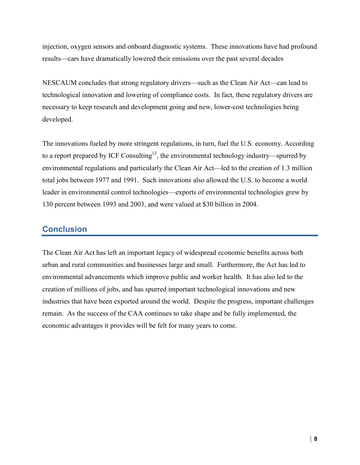injection, oxygen sensors and onboard diagnostic systems. These innovations have had profound results—cars have dramatically lowered their emissions over the past several decades

NESCAUM concludes that strong regulatory drivers—such as the Clean Air Act—can lead to technological innovation and lowering of compliance costs. In fact, these regulatory drivers are necessary to keep research and development going and new, lower-cost technologies being developed.

The innovations fueled by more stringent regulations, in turn, fuel the U.S. economy. According to a report prepared by ICF Consulting<sup>13</sup>, the environmental technology industry—spurred by environmental regulations and particularly the Clean Air Act—led to the creation of 1.3 million total jobs between 1977 and 1991. Such innovations also allowed the U.S. to become a world leader in environmental control technologies—exports of environmental technologies grew by 130 percent between 1993 and 2003, and were valued at \$30 billion in 2004.

#### **Conclusion**

The Clean Air Act has left an important legacy of widespread economic benefits across both urban and rural communities and businesses large and small. Furthermore, the Act has led to environmental advancements which improve public and worker health. It has also led to the creation of millions of jobs, and has spurred important technological innovations and new industries that have been exported around the world. Despite the progress, important challenges remain. As the success of the CAA continues to take shape and be fully implemented, the economic advantages it provides will be felt for many years to come.